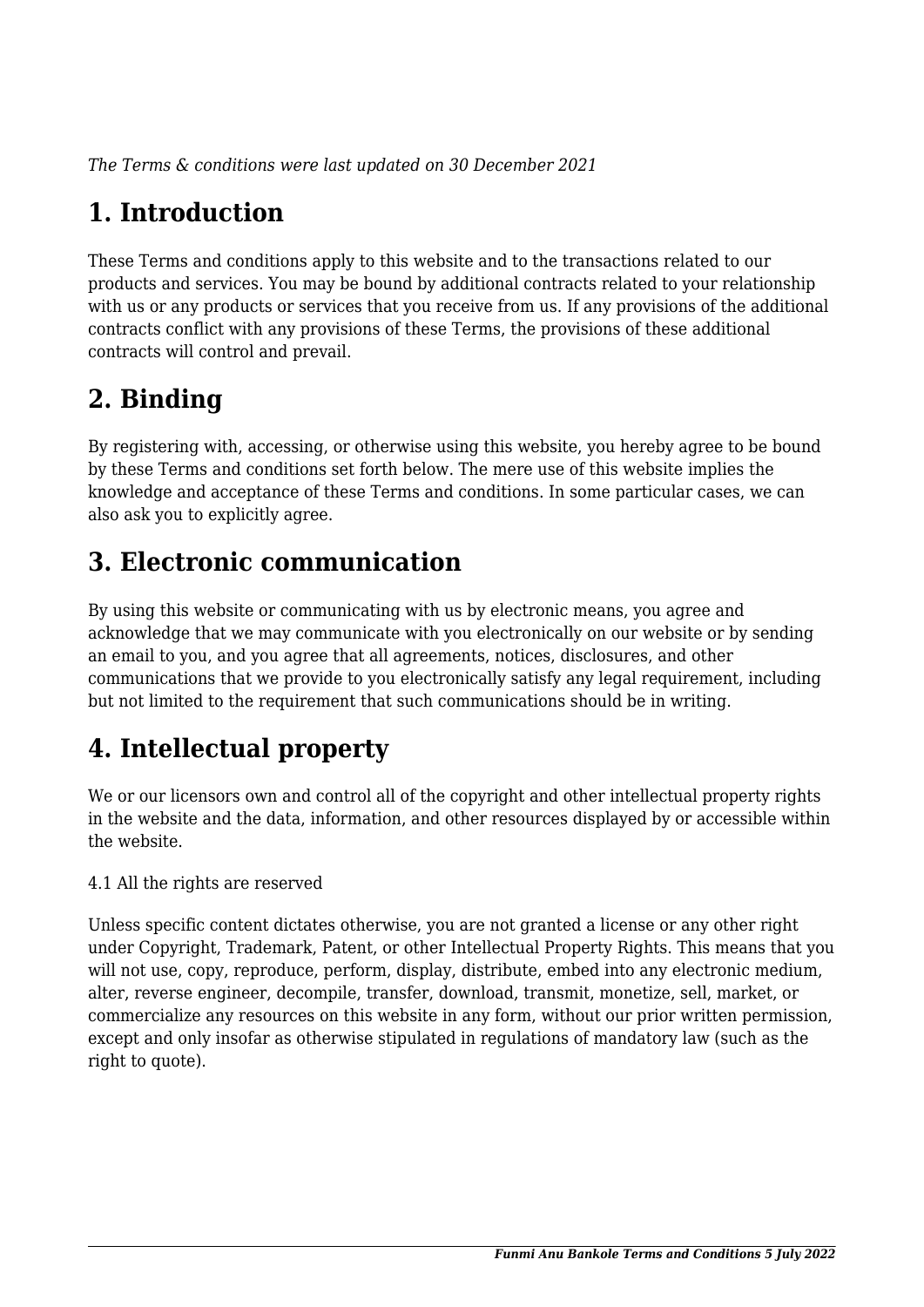*The Terms & conditions were last updated on 30 December 2021*

# **1. Introduction**

These Terms and conditions apply to this website and to the transactions related to our products and services. You may be bound by additional contracts related to your relationship with us or any products or services that you receive from us. If any provisions of the additional contracts conflict with any provisions of these Terms, the provisions of these additional contracts will control and prevail.

## **2. Binding**

By registering with, accessing, or otherwise using this website, you hereby agree to be bound by these Terms and conditions set forth below. The mere use of this website implies the knowledge and acceptance of these Terms and conditions. In some particular cases, we can also ask you to explicitly agree.

# **3. Electronic communication**

By using this website or communicating with us by electronic means, you agree and acknowledge that we may communicate with you electronically on our website or by sending an email to you, and you agree that all agreements, notices, disclosures, and other communications that we provide to you electronically satisfy any legal requirement, including but not limited to the requirement that such communications should be in writing.

# **4. Intellectual property**

We or our licensors own and control all of the copyright and other intellectual property rights in the website and the data, information, and other resources displayed by or accessible within the website.

4.1 All the rights are reserved

Unless specific content dictates otherwise, you are not granted a license or any other right under Copyright, Trademark, Patent, or other Intellectual Property Rights. This means that you will not use, copy, reproduce, perform, display, distribute, embed into any electronic medium, alter, reverse engineer, decompile, transfer, download, transmit, monetize, sell, market, or commercialize any resources on this website in any form, without our prior written permission, except and only insofar as otherwise stipulated in regulations of mandatory law (such as the right to quote).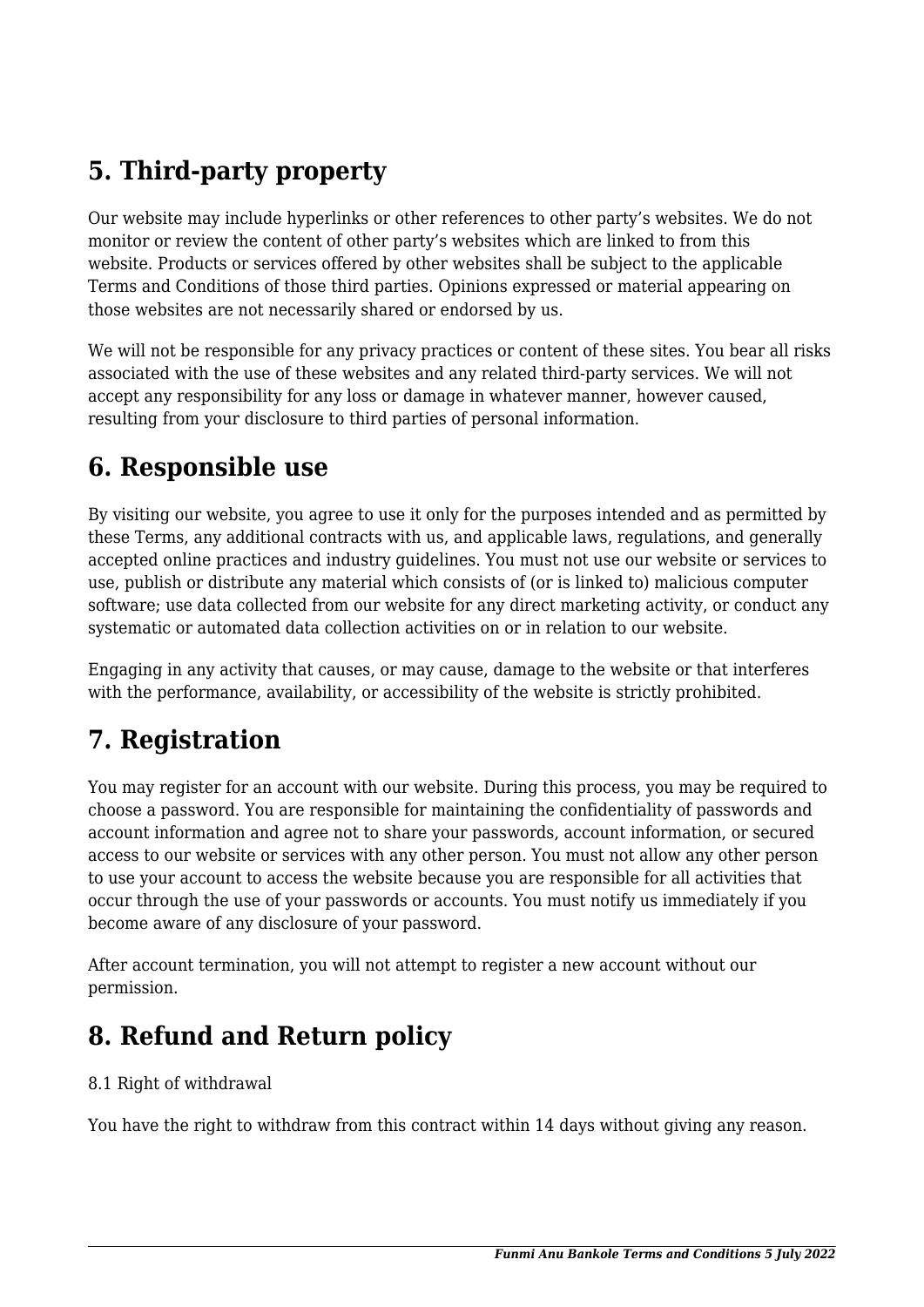# **5. Third-party property**

Our website may include hyperlinks or other references to other party's websites. We do not monitor or review the content of other party's websites which are linked to from this website. Products or services offered by other websites shall be subject to the applicable Terms and Conditions of those third parties. Opinions expressed or material appearing on those websites are not necessarily shared or endorsed by us.

We will not be responsible for any privacy practices or content of these sites. You bear all risks associated with the use of these websites and any related third-party services. We will not accept any responsibility for any loss or damage in whatever manner, however caused, resulting from your disclosure to third parties of personal information.

#### **6. Responsible use**

By visiting our website, you agree to use it only for the purposes intended and as permitted by these Terms, any additional contracts with us, and applicable laws, regulations, and generally accepted online practices and industry guidelines. You must not use our website or services to use, publish or distribute any material which consists of (or is linked to) malicious computer software; use data collected from our website for any direct marketing activity, or conduct any systematic or automated data collection activities on or in relation to our website.

Engaging in any activity that causes, or may cause, damage to the website or that interferes with the performance, availability, or accessibility of the website is strictly prohibited.

### **7. Registration**

You may register for an account with our website. During this process, you may be required to choose a password. You are responsible for maintaining the confidentiality of passwords and account information and agree not to share your passwords, account information, or secured access to our website or services with any other person. You must not allow any other person to use your account to access the website because you are responsible for all activities that occur through the use of your passwords or accounts. You must notify us immediately if you become aware of any disclosure of your password.

After account termination, you will not attempt to register a new account without our permission.

### **8. Refund and Return policy**

#### 8.1 Right of withdrawal

You have the right to withdraw from this contract within 14 days without giving any reason.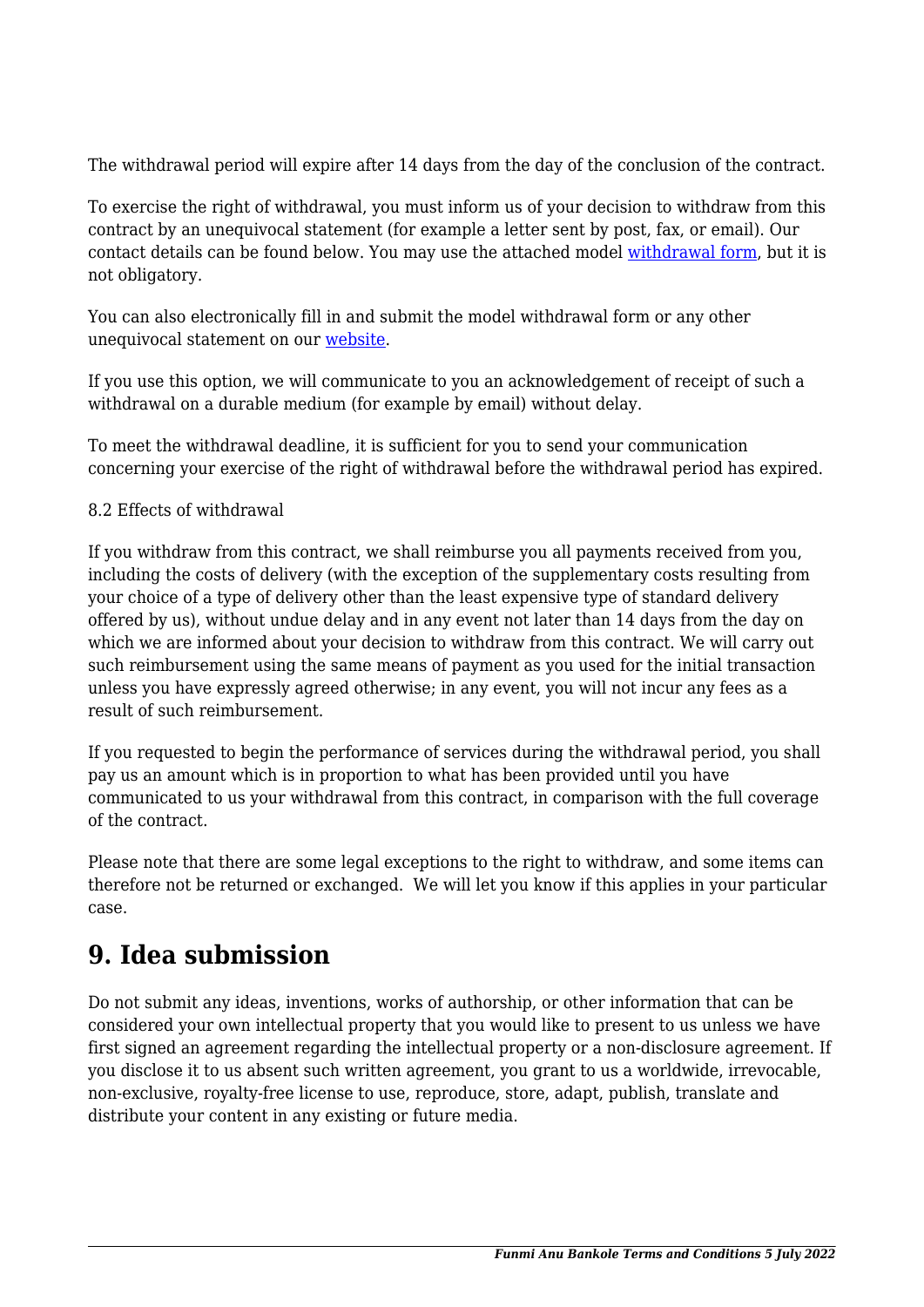The withdrawal period will expire after 14 days from the day of the conclusion of the contract.

To exercise the right of withdrawal, you must inform us of your decision to withdraw from this contract by an unequivocal statement (for example a letter sent by post, fax, or email). Our contact details can be found below. You may use the attached model [withdrawal form](https://www.funmianubankole.com/wp-content/uploads/complianz/withdrawal-forms/withdrawal-form-en.pdf), but it is not obligatory.

You can also electronically fill in and submit the model withdrawal form or any other unequivocal statement on our [website](http://www.funmianubankole.com/contact/).

If you use this option, we will communicate to you an acknowledgement of receipt of such a withdrawal on a durable medium (for example by email) without delay.

To meet the withdrawal deadline, it is sufficient for you to send your communication concerning your exercise of the right of withdrawal before the withdrawal period has expired.

#### 8.2 Effects of withdrawal

If you withdraw from this contract, we shall reimburse you all payments received from you, including the costs of delivery (with the exception of the supplementary costs resulting from your choice of a type of delivery other than the least expensive type of standard delivery offered by us), without undue delay and in any event not later than 14 days from the day on which we are informed about your decision to withdraw from this contract. We will carry out such reimbursement using the same means of payment as you used for the initial transaction unless you have expressly agreed otherwise; in any event, you will not incur any fees as a result of such reimbursement.

If you requested to begin the performance of services during the withdrawal period, you shall pay us an amount which is in proportion to what has been provided until you have communicated to us your withdrawal from this contract, in comparison with the full coverage of the contract.

Please note that there are some legal exceptions to the right to withdraw, and some items can therefore not be returned or exchanged. We will let you know if this applies in your particular case.

#### **9. Idea submission**

Do not submit any ideas, inventions, works of authorship, or other information that can be considered your own intellectual property that you would like to present to us unless we have first signed an agreement regarding the intellectual property or a non-disclosure agreement. If you disclose it to us absent such written agreement, you grant to us a worldwide, irrevocable, non-exclusive, royalty-free license to use, reproduce, store, adapt, publish, translate and distribute your content in any existing or future media.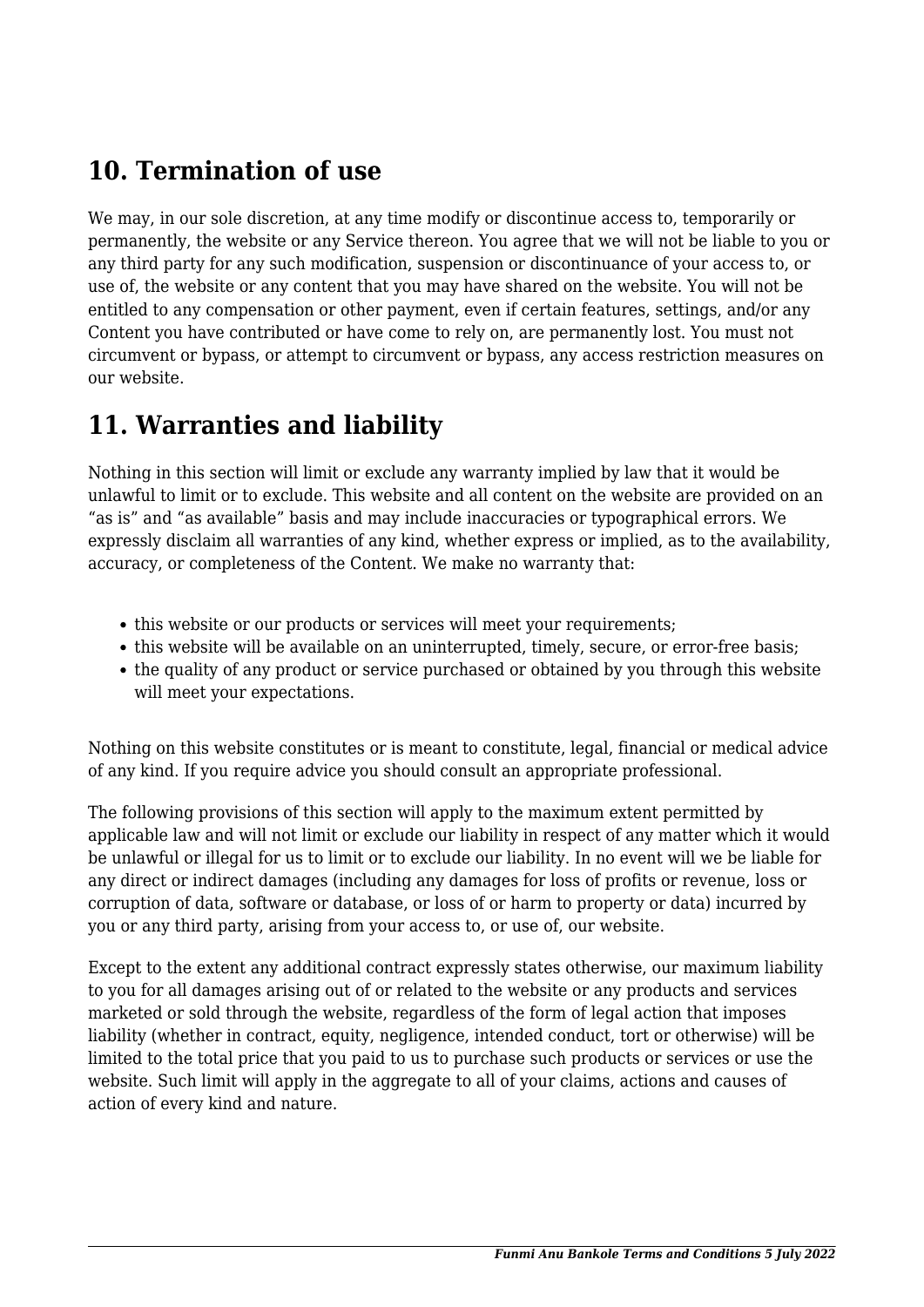## **10. Termination of use**

We may, in our sole discretion, at any time modify or discontinue access to, temporarily or permanently, the website or any Service thereon. You agree that we will not be liable to you or any third party for any such modification, suspension or discontinuance of your access to, or use of, the website or any content that you may have shared on the website. You will not be entitled to any compensation or other payment, even if certain features, settings, and/or any Content you have contributed or have come to rely on, are permanently lost. You must not circumvent or bypass, or attempt to circumvent or bypass, any access restriction measures on our website.

### **11. Warranties and liability**

Nothing in this section will limit or exclude any warranty implied by law that it would be unlawful to limit or to exclude. This website and all content on the website are provided on an "as is" and "as available" basis and may include inaccuracies or typographical errors. We expressly disclaim all warranties of any kind, whether express or implied, as to the availability, accuracy, or completeness of the Content. We make no warranty that:

- this website or our products or services will meet your requirements;
- this website will be available on an uninterrupted, timely, secure, or error-free basis;
- the quality of any product or service purchased or obtained by you through this website will meet your expectations.

Nothing on this website constitutes or is meant to constitute, legal, financial or medical advice of any kind. If you require advice you should consult an appropriate professional.

The following provisions of this section will apply to the maximum extent permitted by applicable law and will not limit or exclude our liability in respect of any matter which it would be unlawful or illegal for us to limit or to exclude our liability. In no event will we be liable for any direct or indirect damages (including any damages for loss of profits or revenue, loss or corruption of data, software or database, or loss of or harm to property or data) incurred by you or any third party, arising from your access to, or use of, our website.

Except to the extent any additional contract expressly states otherwise, our maximum liability to you for all damages arising out of or related to the website or any products and services marketed or sold through the website, regardless of the form of legal action that imposes liability (whether in contract, equity, negligence, intended conduct, tort or otherwise) will be limited to the total price that you paid to us to purchase such products or services or use the website. Such limit will apply in the aggregate to all of your claims, actions and causes of action of every kind and nature.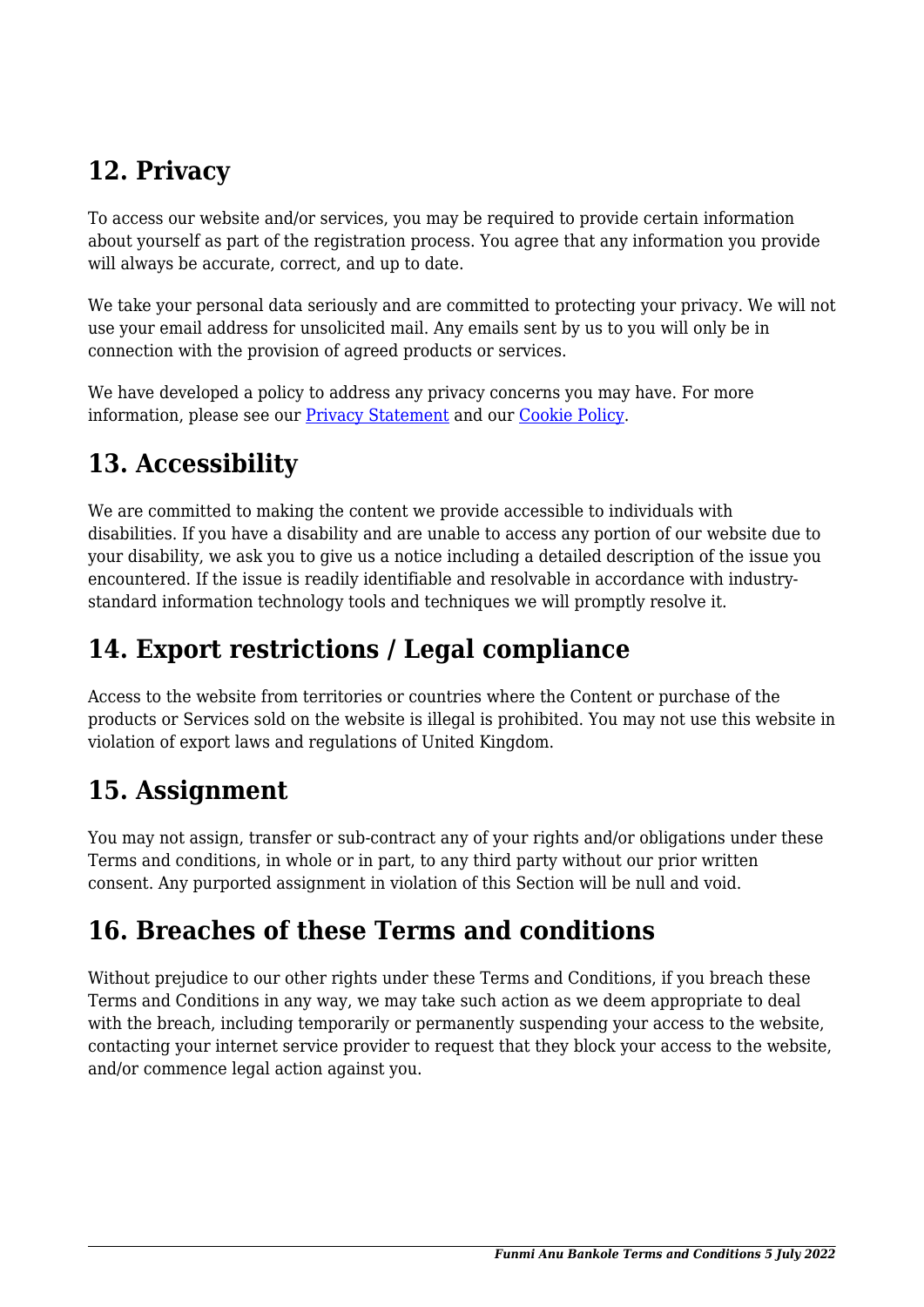## **12. Privacy**

To access our website and/or services, you may be required to provide certain information about yourself as part of the registration process. You agree that any information you provide will always be accurate, correct, and up to date.

We take your personal data seriously and are committed to protecting your privacy. We will not use your email address for unsolicited mail. Any emails sent by us to you will only be in connection with the provision of agreed products or services.

We have developed a policy to address any privacy concerns you may have. For more information, please see our [Privacy Statement](http://www.funmianubankole.com/privacy-policy/) and our [Cookie Policy](http://www.funmianubankole.com/cookie-policy/).

## **13. Accessibility**

We are committed to making the content we provide accessible to individuals with disabilities. If you have a disability and are unable to access any portion of our website due to your disability, we ask you to give us a notice including a detailed description of the issue you encountered. If the issue is readily identifiable and resolvable in accordance with industrystandard information technology tools and techniques we will promptly resolve it.

## **14. Export restrictions / Legal compliance**

Access to the website from territories or countries where the Content or purchase of the products or Services sold on the website is illegal is prohibited. You may not use this website in violation of export laws and regulations of United Kingdom.

### **15. Assignment**

You may not assign, transfer or sub-contract any of your rights and/or obligations under these Terms and conditions, in whole or in part, to any third party without our prior written consent. Any purported assignment in violation of this Section will be null and void.

## **16. Breaches of these Terms and conditions**

Without prejudice to our other rights under these Terms and Conditions, if you breach these Terms and Conditions in any way, we may take such action as we deem appropriate to deal with the breach, including temporarily or permanently suspending your access to the website, contacting your internet service provider to request that they block your access to the website, and/or commence legal action against you.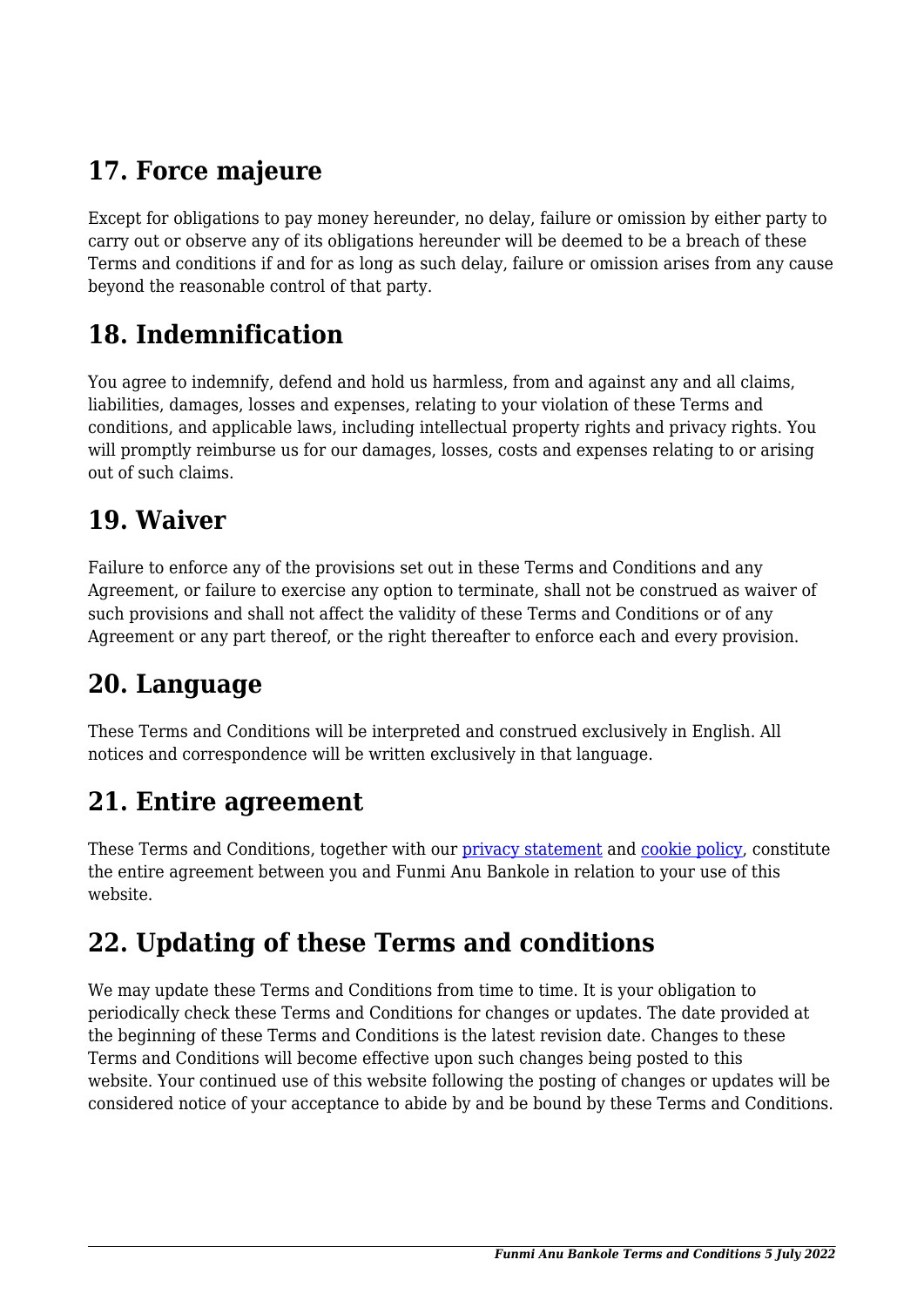# **17. Force majeure**

Except for obligations to pay money hereunder, no delay, failure or omission by either party to carry out or observe any of its obligations hereunder will be deemed to be a breach of these Terms and conditions if and for as long as such delay, failure or omission arises from any cause beyond the reasonable control of that party.

### **18. Indemnification**

You agree to indemnify, defend and hold us harmless, from and against any and all claims, liabilities, damages, losses and expenses, relating to your violation of these Terms and conditions, and applicable laws, including intellectual property rights and privacy rights. You will promptly reimburse us for our damages, losses, costs and expenses relating to or arising out of such claims.

#### **19. Waiver**

Failure to enforce any of the provisions set out in these Terms and Conditions and any Agreement, or failure to exercise any option to terminate, shall not be construed as waiver of such provisions and shall not affect the validity of these Terms and Conditions or of any Agreement or any part thereof, or the right thereafter to enforce each and every provision.

### **20. Language**

These Terms and Conditions will be interpreted and construed exclusively in English. All notices and correspondence will be written exclusively in that language.

#### **21. Entire agreement**

These Terms and Conditions, together with our [privacy statement](http://www.funmianubankole.com/privacy-policy/) and [cookie policy,](http://www.funmianubankole.com/cookie-policy/) constitute the entire agreement between you and Funmi Anu Bankole in relation to your use of this website.

### **22. Updating of these Terms and conditions**

We may update these Terms and Conditions from time to time. It is your obligation to periodically check these Terms and Conditions for changes or updates. The date provided at the beginning of these Terms and Conditions is the latest revision date. Changes to these Terms and Conditions will become effective upon such changes being posted to this website. Your continued use of this website following the posting of changes or updates will be considered notice of your acceptance to abide by and be bound by these Terms and Conditions.